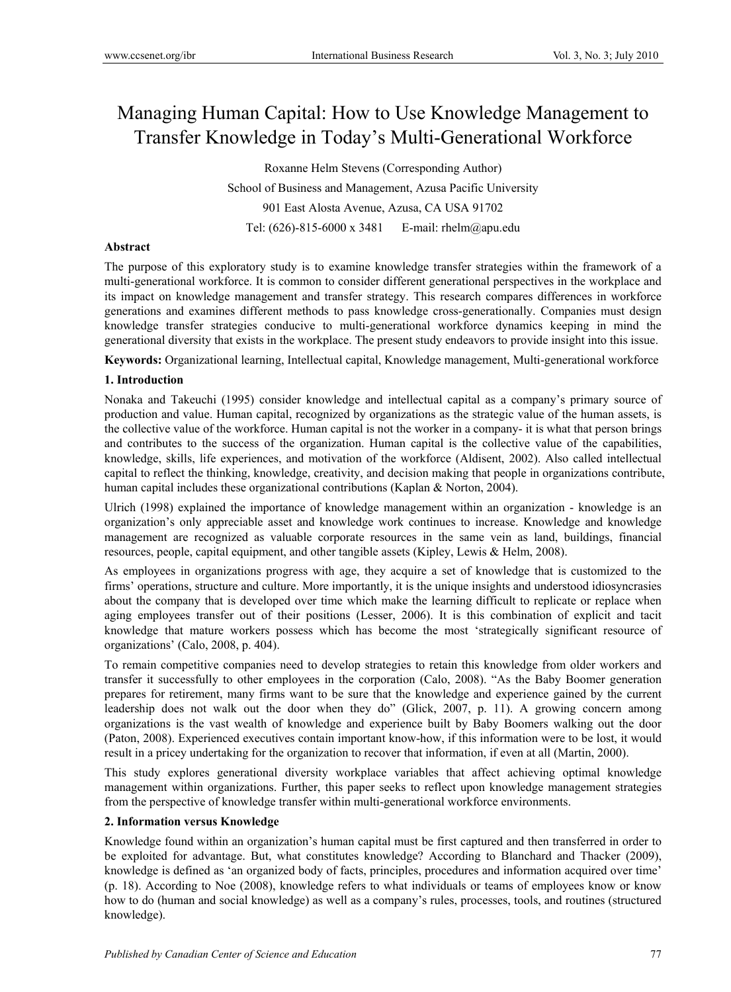# Managing Human Capital: How to Use Knowledge Management to Transfer Knowledge in Today's Multi-Generational Workforce

Roxanne Helm Stevens (Corresponding Author) School of Business and Management, Azusa Pacific University 901 East Alosta Avenue, Azusa, CA USA 91702 Tel: (626)-815-6000 x 3481 E-mail: rhelm@apu.edu

## **Abstract**

The purpose of this exploratory study is to examine knowledge transfer strategies within the framework of a multi-generational workforce. It is common to consider different generational perspectives in the workplace and its impact on knowledge management and transfer strategy. This research compares differences in workforce generations and examines different methods to pass knowledge cross-generationally. Companies must design knowledge transfer strategies conducive to multi-generational workforce dynamics keeping in mind the generational diversity that exists in the workplace. The present study endeavors to provide insight into this issue.

**Keywords:** Organizational learning, Intellectual capital, Knowledge management, Multi-generational workforce

### **1. Introduction**

Nonaka and Takeuchi (1995) consider knowledge and intellectual capital as a company's primary source of production and value. Human capital, recognized by organizations as the strategic value of the human assets, is the collective value of the workforce. Human capital is not the worker in a company- it is what that person brings and contributes to the success of the organization. Human capital is the collective value of the capabilities, knowledge, skills, life experiences, and motivation of the workforce (Aldisent, 2002). Also called intellectual capital to reflect the thinking, knowledge, creativity, and decision making that people in organizations contribute, human capital includes these organizational contributions (Kaplan & Norton, 2004).

Ulrich (1998) explained the importance of knowledge management within an organization - knowledge is an organization's only appreciable asset and knowledge work continues to increase. Knowledge and knowledge management are recognized as valuable corporate resources in the same vein as land, buildings, financial resources, people, capital equipment, and other tangible assets (Kipley, Lewis & Helm, 2008).

As employees in organizations progress with age, they acquire a set of knowledge that is customized to the firms' operations, structure and culture. More importantly, it is the unique insights and understood idiosyncrasies about the company that is developed over time which make the learning difficult to replicate or replace when aging employees transfer out of their positions (Lesser, 2006). It is this combination of explicit and tacit knowledge that mature workers possess which has become the most 'strategically significant resource of organizations' (Calo, 2008, p. 404).

To remain competitive companies need to develop strategies to retain this knowledge from older workers and transfer it successfully to other employees in the corporation (Calo, 2008). "As the Baby Boomer generation prepares for retirement, many firms want to be sure that the knowledge and experience gained by the current leadership does not walk out the door when they do" (Glick, 2007, p. 11). A growing concern among organizations is the vast wealth of knowledge and experience built by Baby Boomers walking out the door (Paton, 2008). Experienced executives contain important know-how, if this information were to be lost, it would result in a pricey undertaking for the organization to recover that information, if even at all (Martin, 2000).

This study explores generational diversity workplace variables that affect achieving optimal knowledge management within organizations. Further, this paper seeks to reflect upon knowledge management strategies from the perspective of knowledge transfer within multi-generational workforce environments.

#### **2. Information versus Knowledge**

Knowledge found within an organization's human capital must be first captured and then transferred in order to be exploited for advantage. But, what constitutes knowledge? According to Blanchard and Thacker (2009), knowledge is defined as 'an organized body of facts, principles, procedures and information acquired over time' (p. 18). According to Noe (2008), knowledge refers to what individuals or teams of employees know or know how to do (human and social knowledge) as well as a company's rules, processes, tools, and routines (structured knowledge).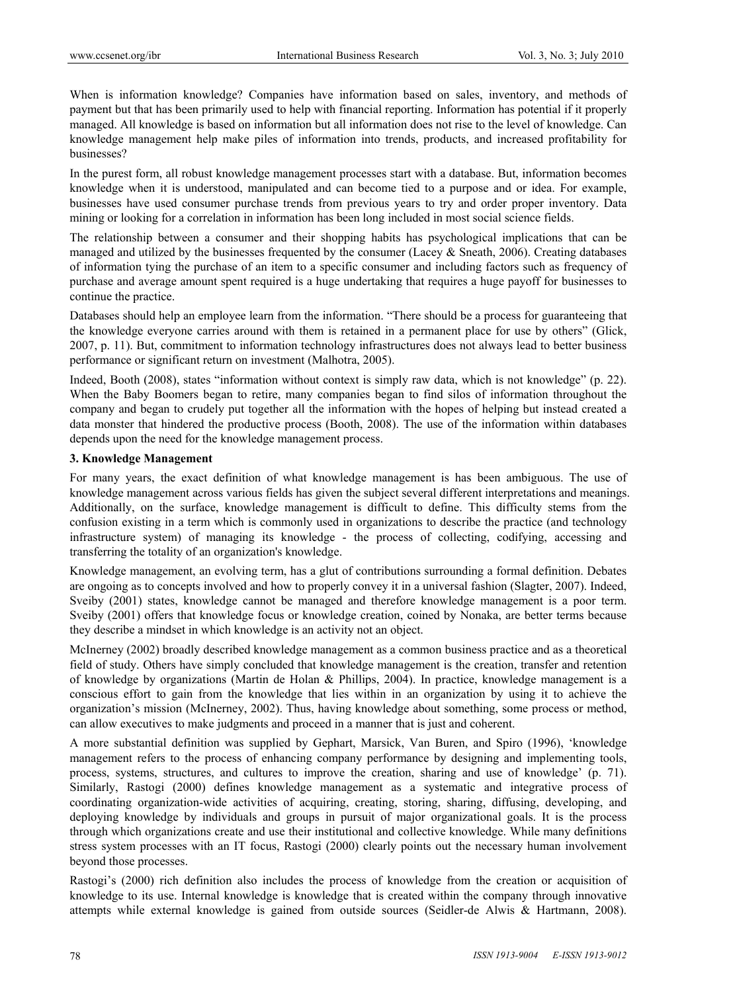When is information knowledge? Companies have information based on sales, inventory, and methods of payment but that has been primarily used to help with financial reporting. Information has potential if it properly managed. All knowledge is based on information but all information does not rise to the level of knowledge. Can knowledge management help make piles of information into trends, products, and increased profitability for businesses?

In the purest form, all robust knowledge management processes start with a database. But, information becomes knowledge when it is understood, manipulated and can become tied to a purpose and or idea. For example, businesses have used consumer purchase trends from previous years to try and order proper inventory. Data mining or looking for a correlation in information has been long included in most social science fields.

The relationship between a consumer and their shopping habits has psychological implications that can be managed and utilized by the businesses frequented by the consumer (Lacey & Sneath, 2006). Creating databases of information tying the purchase of an item to a specific consumer and including factors such as frequency of purchase and average amount spent required is a huge undertaking that requires a huge payoff for businesses to continue the practice.

Databases should help an employee learn from the information. "There should be a process for guaranteeing that the knowledge everyone carries around with them is retained in a permanent place for use by others" (Glick, 2007, p. 11). But, commitment to information technology infrastructures does not always lead to better business performance or significant return on investment (Malhotra, 2005).

Indeed, Booth (2008), states "information without context is simply raw data, which is not knowledge" (p. 22). When the Baby Boomers began to retire, many companies began to find silos of information throughout the company and began to crudely put together all the information with the hopes of helping but instead created a data monster that hindered the productive process (Booth, 2008). The use of the information within databases depends upon the need for the knowledge management process.

#### **3. Knowledge Management**

For many years, the exact definition of what knowledge management is has been ambiguous. The use of knowledge management across various fields has given the subject several different interpretations and meanings. Additionally, on the surface, knowledge management is difficult to define. This difficulty stems from the confusion existing in a term which is commonly used in organizations to describe the practice (and technology infrastructure system) of managing its knowledge - the process of collecting, codifying, accessing and transferring the totality of an organization's knowledge.

Knowledge management, an evolving term, has a glut of contributions surrounding a formal definition. Debates are ongoing as to concepts involved and how to properly convey it in a universal fashion (Slagter, 2007). Indeed, Sveiby (2001) states, knowledge cannot be managed and therefore knowledge management is a poor term. Sveiby (2001) offers that knowledge focus or knowledge creation, coined by Nonaka, are better terms because they describe a mindset in which knowledge is an activity not an object.

McInerney (2002) broadly described knowledge management as a common business practice and as a theoretical field of study. Others have simply concluded that knowledge management is the creation, transfer and retention of knowledge by organizations (Martin de Holan & Phillips, 2004). In practice, knowledge management is a conscious effort to gain from the knowledge that lies within in an organization by using it to achieve the organization's mission (McInerney, 2002). Thus, having knowledge about something, some process or method, can allow executives to make judgments and proceed in a manner that is just and coherent.

A more substantial definition was supplied by Gephart, Marsick, Van Buren, and Spiro (1996), 'knowledge management refers to the process of enhancing company performance by designing and implementing tools, process, systems, structures, and cultures to improve the creation, sharing and use of knowledge' (p. 71). Similarly, Rastogi (2000) defines knowledge management as a systematic and integrative process of coordinating organization-wide activities of acquiring, creating, storing, sharing, diffusing, developing, and deploying knowledge by individuals and groups in pursuit of major organizational goals. It is the process through which organizations create and use their institutional and collective knowledge. While many definitions stress system processes with an IT focus, Rastogi (2000) clearly points out the necessary human involvement beyond those processes.

Rastogi's (2000) rich definition also includes the process of knowledge from the creation or acquisition of knowledge to its use. Internal knowledge is knowledge that is created within the company through innovative attempts while external knowledge is gained from outside sources (Seidler-de Alwis & Hartmann, 2008).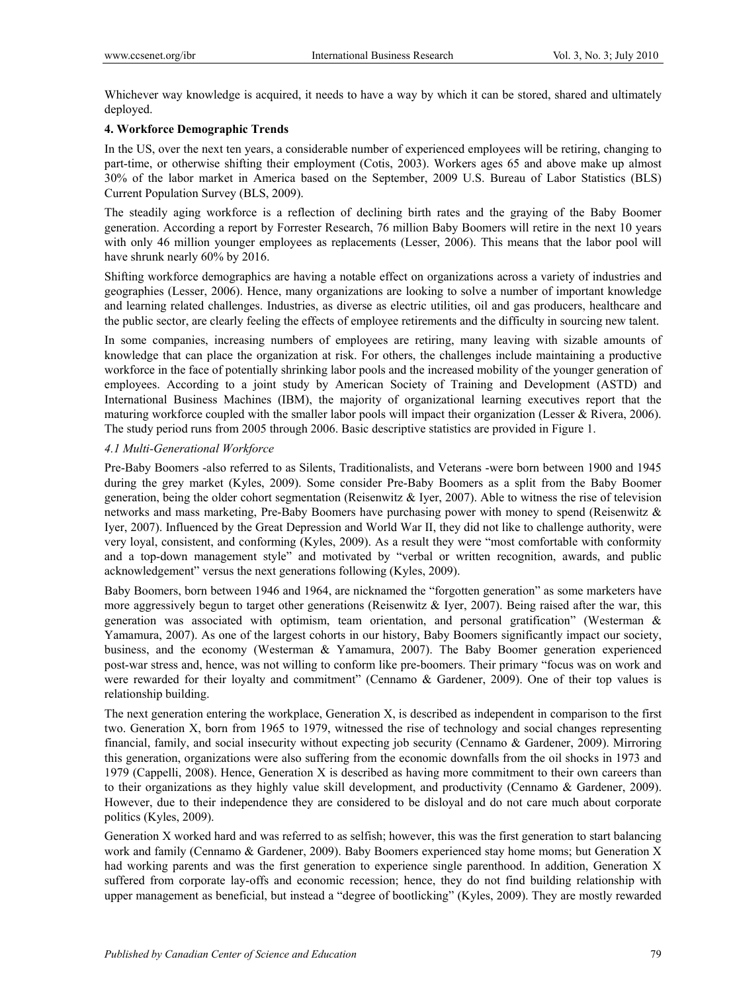Whichever way knowledge is acquired, it needs to have a way by which it can be stored, shared and ultimately deployed.

## **4. Workforce Demographic Trends**

In the US, over the next ten years, a considerable number of experienced employees will be retiring, changing to part-time, or otherwise shifting their employment (Cotis, 2003). Workers ages 65 and above make up almost 30% of the labor market in America based on the September, 2009 U.S. Bureau of Labor Statistics (BLS) Current Population Survey (BLS, 2009).

The steadily aging workforce is a reflection of declining birth rates and the graying of the Baby Boomer generation. According a report by Forrester Research, 76 million Baby Boomers will retire in the next 10 years with only 46 million younger employees as replacements (Lesser, 2006). This means that the labor pool will have shrunk nearly 60% by 2016.

Shifting workforce demographics are having a notable effect on organizations across a variety of industries and geographies (Lesser, 2006). Hence, many organizations are looking to solve a number of important knowledge and learning related challenges. Industries, as diverse as electric utilities, oil and gas producers, healthcare and the public sector, are clearly feeling the effects of employee retirements and the difficulty in sourcing new talent.

In some companies, increasing numbers of employees are retiring, many leaving with sizable amounts of knowledge that can place the organization at risk. For others, the challenges include maintaining a productive workforce in the face of potentially shrinking labor pools and the increased mobility of the younger generation of employees. According to a joint study by American Society of Training and Development (ASTD) and International Business Machines (IBM), the majority of organizational learning executives report that the maturing workforce coupled with the smaller labor pools will impact their organization (Lesser & Rivera, 2006). The study period runs from 2005 through 2006. Basic descriptive statistics are provided in Figure 1.

### *4.1 Multi-Generational Workforce*

Pre-Baby Boomers -also referred to as Silents, Traditionalists, and Veterans -were born between 1900 and 1945 during the grey market (Kyles, 2009). Some consider Pre-Baby Boomers as a split from the Baby Boomer generation, being the older cohort segmentation (Reisenwitz & Iyer, 2007). Able to witness the rise of television networks and mass marketing, Pre-Baby Boomers have purchasing power with money to spend (Reisenwitz & Iyer, 2007). Influenced by the Great Depression and World War II, they did not like to challenge authority, were very loyal, consistent, and conforming (Kyles, 2009). As a result they were "most comfortable with conformity and a top-down management style" and motivated by "verbal or written recognition, awards, and public acknowledgement" versus the next generations following (Kyles, 2009).

Baby Boomers, born between 1946 and 1964, are nicknamed the "forgotten generation" as some marketers have more aggressively begun to target other generations (Reisenwitz & Iyer, 2007). Being raised after the war, this generation was associated with optimism, team orientation, and personal gratification" (Westerman & Yamamura, 2007). As one of the largest cohorts in our history, Baby Boomers significantly impact our society, business, and the economy (Westerman & Yamamura, 2007). The Baby Boomer generation experienced post-war stress and, hence, was not willing to conform like pre-boomers. Their primary "focus was on work and were rewarded for their loyalty and commitment" (Cennamo & Gardener, 2009). One of their top values is relationship building.

The next generation entering the workplace, Generation X, is described as independent in comparison to the first two. Generation X, born from 1965 to 1979, witnessed the rise of technology and social changes representing financial, family, and social insecurity without expecting job security (Cennamo & Gardener, 2009). Mirroring this generation, organizations were also suffering from the economic downfalls from the oil shocks in 1973 and 1979 (Cappelli, 2008). Hence, Generation X is described as having more commitment to their own careers than to their organizations as they highly value skill development, and productivity (Cennamo & Gardener, 2009). However, due to their independence they are considered to be disloyal and do not care much about corporate politics (Kyles, 2009).

Generation X worked hard and was referred to as selfish; however, this was the first generation to start balancing work and family (Cennamo & Gardener, 2009). Baby Boomers experienced stay home moms; but Generation X had working parents and was the first generation to experience single parenthood. In addition, Generation X suffered from corporate lay-offs and economic recession; hence, they do not find building relationship with upper management as beneficial, but instead a "degree of bootlicking" (Kyles, 2009). They are mostly rewarded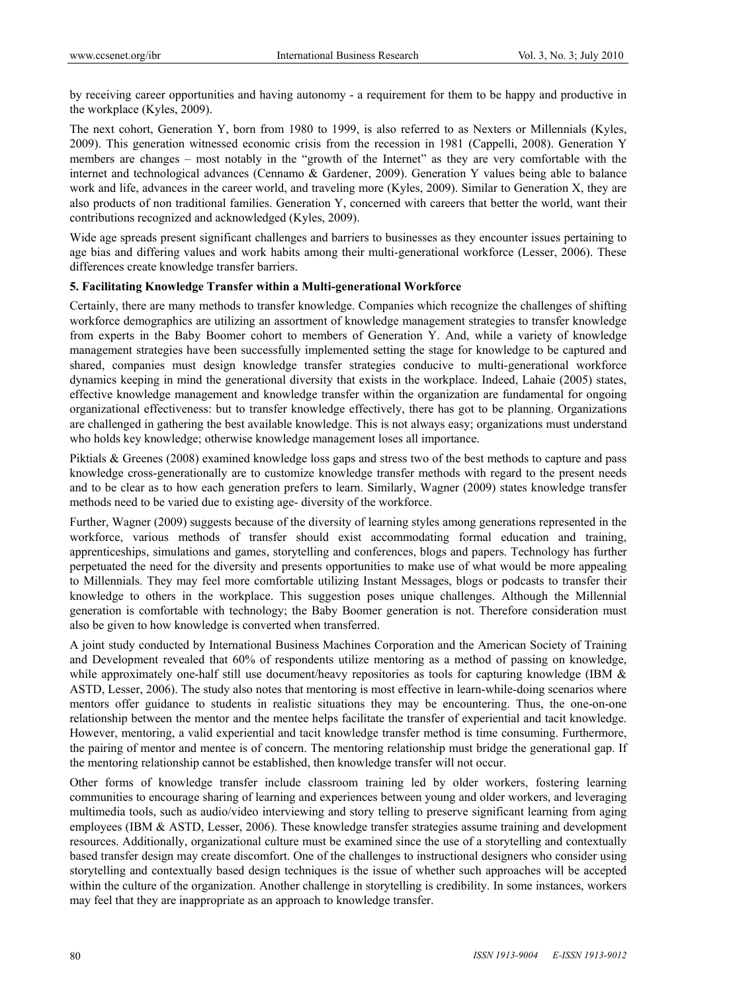by receiving career opportunities and having autonomy - a requirement for them to be happy and productive in the workplace (Kyles, 2009).

The next cohort, Generation Y, born from 1980 to 1999, is also referred to as Nexters or Millennials (Kyles, 2009). This generation witnessed economic crisis from the recession in 1981 (Cappelli, 2008). Generation Y members are changes – most notably in the "growth of the Internet" as they are very comfortable with the internet and technological advances (Cennamo & Gardener, 2009). Generation Y values being able to balance work and life, advances in the career world, and traveling more (Kyles, 2009). Similar to Generation X, they are also products of non traditional families. Generation Y, concerned with careers that better the world, want their contributions recognized and acknowledged (Kyles, 2009).

Wide age spreads present significant challenges and barriers to businesses as they encounter issues pertaining to age bias and differing values and work habits among their multi-generational workforce (Lesser, 2006). These differences create knowledge transfer barriers.

#### **5. Facilitating Knowledge Transfer within a Multi-generational Workforce**

Certainly, there are many methods to transfer knowledge. Companies which recognize the challenges of shifting workforce demographics are utilizing an assortment of knowledge management strategies to transfer knowledge from experts in the Baby Boomer cohort to members of Generation Y. And, while a variety of knowledge management strategies have been successfully implemented setting the stage for knowledge to be captured and shared, companies must design knowledge transfer strategies conducive to multi-generational workforce dynamics keeping in mind the generational diversity that exists in the workplace. Indeed, Lahaie (2005) states, effective knowledge management and knowledge transfer within the organization are fundamental for ongoing organizational effectiveness: but to transfer knowledge effectively, there has got to be planning. Organizations are challenged in gathering the best available knowledge. This is not always easy; organizations must understand who holds key knowledge; otherwise knowledge management loses all importance.

Piktials & Greenes (2008) examined knowledge loss gaps and stress two of the best methods to capture and pass knowledge cross-generationally are to customize knowledge transfer methods with regard to the present needs and to be clear as to how each generation prefers to learn. Similarly, Wagner (2009) states knowledge transfer methods need to be varied due to existing age- diversity of the workforce.

Further, Wagner (2009) suggests because of the diversity of learning styles among generations represented in the workforce, various methods of transfer should exist accommodating formal education and training, apprenticeships, simulations and games, storytelling and conferences, blogs and papers. Technology has further perpetuated the need for the diversity and presents opportunities to make use of what would be more appealing to Millennials. They may feel more comfortable utilizing Instant Messages, blogs or podcasts to transfer their knowledge to others in the workplace. This suggestion poses unique challenges. Although the Millennial generation is comfortable with technology; the Baby Boomer generation is not. Therefore consideration must also be given to how knowledge is converted when transferred.

A joint study conducted by International Business Machines Corporation and the American Society of Training and Development revealed that 60% of respondents utilize mentoring as a method of passing on knowledge, while approximately one-half still use document/heavy repositories as tools for capturing knowledge (IBM  $\&$ ASTD, Lesser, 2006). The study also notes that mentoring is most effective in learn-while-doing scenarios where mentors offer guidance to students in realistic situations they may be encountering. Thus, the one-on-one relationship between the mentor and the mentee helps facilitate the transfer of experiential and tacit knowledge. However, mentoring, a valid experiential and tacit knowledge transfer method is time consuming. Furthermore, the pairing of mentor and mentee is of concern. The mentoring relationship must bridge the generational gap. If the mentoring relationship cannot be established, then knowledge transfer will not occur.

Other forms of knowledge transfer include classroom training led by older workers, fostering learning communities to encourage sharing of learning and experiences between young and older workers, and leveraging multimedia tools, such as audio/video interviewing and story telling to preserve significant learning from aging employees (IBM & ASTD, Lesser, 2006). These knowledge transfer strategies assume training and development resources. Additionally, organizational culture must be examined since the use of a storytelling and contextually based transfer design may create discomfort. One of the challenges to instructional designers who consider using storytelling and contextually based design techniques is the issue of whether such approaches will be accepted within the culture of the organization. Another challenge in storytelling is credibility. In some instances, workers may feel that they are inappropriate as an approach to knowledge transfer.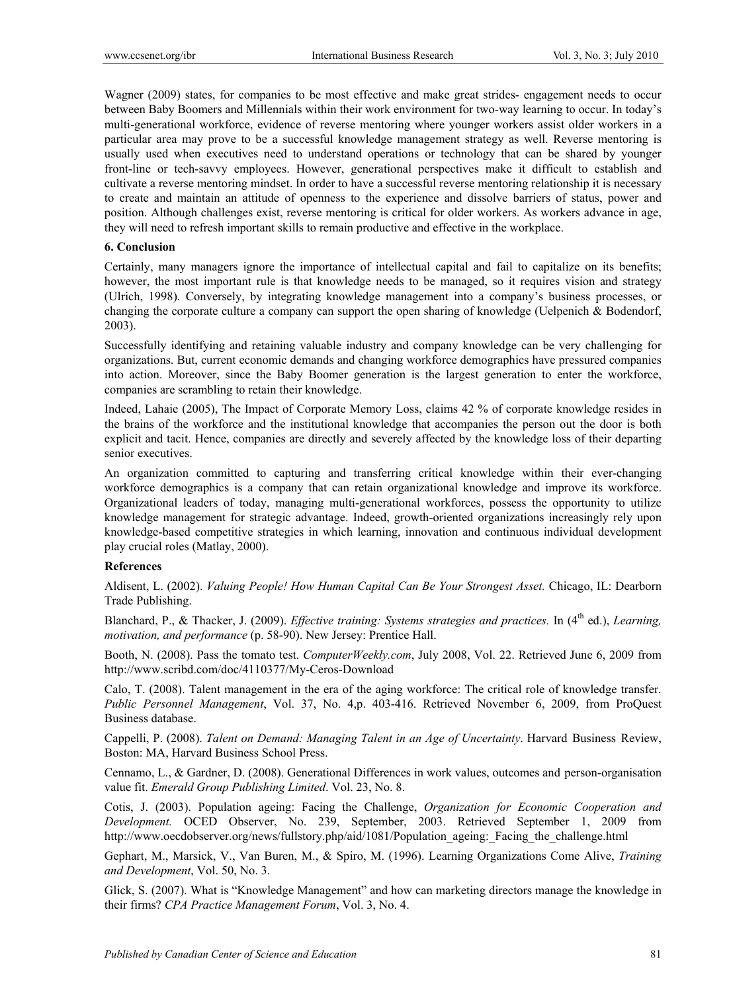Wagner (2009) states, for companies to be most effective and make great strides- engagement needs to occur between Baby Boomers and Millennials within their work environment for two-way learning to occur. In today's multi-generational workforce, evidence of reverse mentoring where younger workers assist older workers in a particular area may prove to be a successful knowledge management strategy as well. Reverse mentoring is usually used when executives need to understand operations or technology that can be shared by younger front-line or tech-savvy employees. However, generational perspectives make it difficult to establish and cultivate a reverse mentoring mindset. In order to have a successful reverse mentoring relationship it is necessary to create and maintain an attitude of openness to the experience and dissolve barriers of status, power and position. Although challenges exist, reverse mentoring is critical for older workers. As workers advance in age, they will need to refresh important skills to remain productive and effective in the workplace.

#### **6. Conclusion**

Certainly, many managers ignore the importance of intellectual capital and fail to capitalize on its benefits; however, the most important rule is that knowledge needs to be managed, so it requires vision and strategy (Ulrich, 1998). Conversely, by integrating knowledge management into a company's business processes, or changing the corporate culture a company can support the open sharing of knowledge (Uelpenich & Bodendorf, 2003).

Successfully identifying and retaining valuable industry and company knowledge can be very challenging for organizations. But, current economic demands and changing workforce demographics have pressured companies into action. Moreover, since the Baby Boomer generation is the largest generation to enter the workforce, companies are scrambling to retain their knowledge.

Indeed, Lahaie (2005), The Impact of Corporate Memory Loss, claims 42 % of corporate knowledge resides in the brains of the workforce and the institutional knowledge that accompanies the person out the door is both explicit and tacit. Hence, companies are directly and severely affected by the knowledge loss of their departing senior executives.

An organization committed to capturing and transferring critical knowledge within their ever-changing workforce demographics is a company that can retain organizational knowledge and improve its workforce. Organizational leaders of today, managing multi-generational workforces, possess the opportunity to utilize knowledge management for strategic advantage. Indeed, growth-oriented organizations increasingly rely upon knowledge-based competitive strategies in which learning, innovation and continuous individual development play crucial roles (Matlay, 2000).

## **References**

Aldisent, L. (2002). *Valuing People! How Human Capital Can Be Your Strongest Asset.* Chicago, IL: Dearborn Trade Publishing.

Blanchard, P., & Thacker, J. (2009). *Effective training: Systems strategies and practices*. In (4<sup>th</sup> ed.), *Learning*, *motivation, and performance* (p. 58-90). New Jersey: Prentice Hall.

Booth, N. (2008). Pass the tomato test. *ComputerWeekly.com*, July 2008, Vol. 22. Retrieved June 6, 2009 from http://www.scribd.com/doc/4110377/My-Ceros-Download

Calo, T. (2008). Talent management in the era of the aging workforce: The critical role of knowledge transfer. *Public Personnel Management*, Vol. 37, No. 4,p. 403-416. Retrieved November 6, 2009, from ProQuest Business database.

Cappelli, P. (2008). *Talent on Demand: Managing Talent in an Age of Uncertainty*. Harvard Business Review, Boston: MA, Harvard Business School Press.

Cennamo, L., & Gardner, D. (2008). Generational Differences in work values, outcomes and person-organisation value fit. *Emerald Group Publishing Limited*. Vol. 23, No. 8.

Cotis, J. (2003). Population ageing: Facing the Challenge, *Organization for Economic Cooperation and Development.* OCED Observer, No. 239, September, 2003. Retrieved September 1, 2009 from http://www.oecdobserver.org/news/fullstory.php/aid/1081/Population\_ageing:\_Facing\_the\_challenge.html

Gephart, M., Marsick, V., Van Buren, M., & Spiro, M. (1996). Learning Organizations Come Alive, *Training and Development*, Vol. 50, No. 3.

Glick, S. (2007). What is "Knowledge Management" and how can marketing directors manage the knowledge in their firms? *CPA Practice Management Forum*, Vol. 3, No. 4.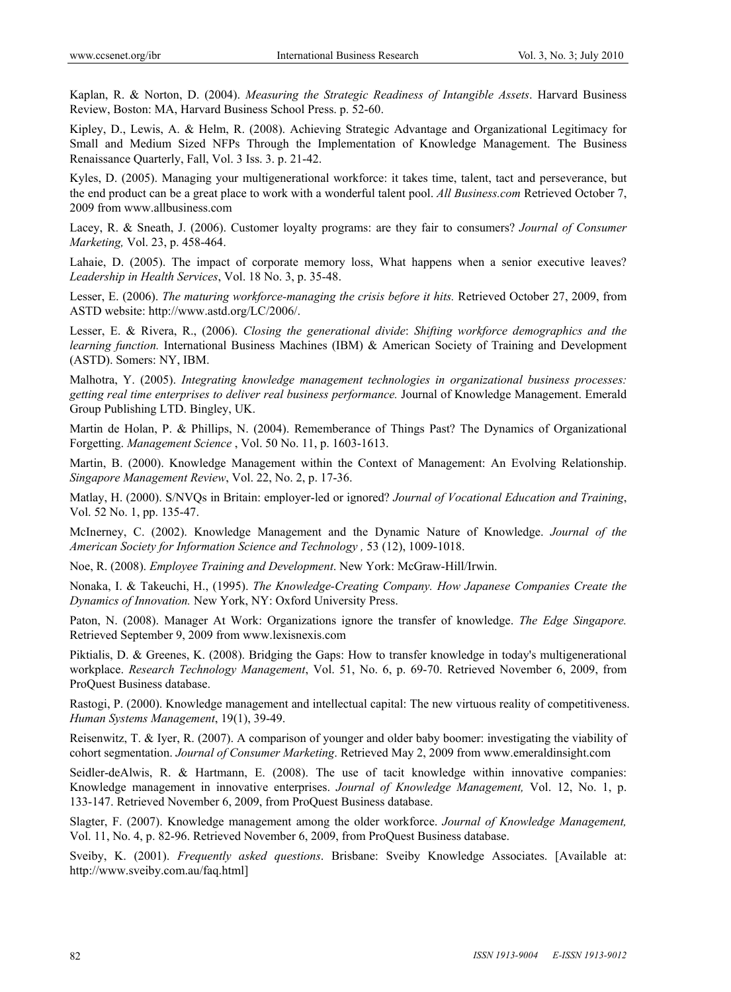Kaplan, R. & Norton, D. (2004). *Measuring the Strategic Readiness of Intangible Assets*. Harvard Business Review, Boston: MA, Harvard Business School Press. p. 52-60.

Kipley, D., Lewis, A. & Helm, R. (2008). Achieving Strategic Advantage and Organizational Legitimacy for Small and Medium Sized NFPs Through the Implementation of Knowledge Management. The Business Renaissance Quarterly, Fall, Vol. 3 Iss. 3. p. 21-42.

Kyles, D. (2005). Managing your multigenerational workforce: it takes time, talent, tact and perseverance, but the end product can be a great place to work with a wonderful talent pool. *All Business.com* Retrieved October 7, 2009 from www.allbusiness.com

Lacey, R. & Sneath, J. (2006). Customer loyalty programs: are they fair to consumers? *Journal of Consumer Marketing,* Vol. 23, p. 458-464.

Lahaie, D. (2005). The impact of corporate memory loss, What happens when a senior executive leaves? *Leadership in Health Services*, Vol. 18 No. 3, p. 35-48.

Lesser, E. (2006). *The maturing workforce-managing the crisis before it hits.* Retrieved October 27, 2009, from ASTD website: http://www.astd.org/LC/2006/.

Lesser, E. & Rivera, R., (2006). *Closing the generational divide*: *Shifting workforce demographics and the learning function.* International Business Machines (IBM) & American Society of Training and Development (ASTD). Somers: NY, IBM.

Malhotra, Y. (2005). *Integrating knowledge management technologies in organizational business processes: getting real time enterprises to deliver real business performance.* Journal of Knowledge Management. Emerald Group Publishing LTD. Bingley, UK.

Martin de Holan, P. & Phillips, N. (2004). Rememberance of Things Past? The Dynamics of Organizational Forgetting. *Management Science* , Vol. 50 No. 11, p. 1603-1613.

Martin, B. (2000). Knowledge Management within the Context of Management: An Evolving Relationship. *Singapore Management Review*, Vol. 22, No. 2, p. 17-36.

Matlay, H. (2000). S/NVQs in Britain: employer-led or ignored? *Journal of Vocational Education and Training*, Vol. 52 No. 1, pp. 135-47.

McInerney, C. (2002). Knowledge Management and the Dynamic Nature of Knowledge. *Journal of the American Society for Information Science and Technology ,* 53 (12), 1009-1018.

Noe, R. (2008). *Employee Training and Development*. New York: McGraw-Hill/Irwin.

Nonaka, I. & Takeuchi, H., (1995). *The Knowledge-Creating Company. How Japanese Companies Create the Dynamics of Innovation.* New York, NY: Oxford University Press.

Paton, N. (2008). Manager At Work: Organizations ignore the transfer of knowledge. *The Edge Singapore.* Retrieved September 9, 2009 from www.lexisnexis.com

Piktialis, D. & Greenes, K. (2008). Bridging the Gaps: How to transfer knowledge in today's multigenerational workplace. *Research Technology Management*, Vol. 51, No. 6, p. 69-70. Retrieved November 6, 2009, from ProQuest Business database.

Rastogi, P. (2000). Knowledge management and intellectual capital: The new virtuous reality of competitiveness. *Human Systems Management*, 19(1), 39-49.

Reisenwitz, T. & Iyer, R. (2007). A comparison of younger and older baby boomer: investigating the viability of cohort segmentation. *Journal of Consumer Marketing*. Retrieved May 2, 2009 from www.emeraldinsight.com

Seidler-deAlwis, R. & Hartmann, E. (2008). The use of tacit knowledge within innovative companies: Knowledge management in innovative enterprises. *Journal of Knowledge Management,* Vol. 12, No. 1, p. 133-147. Retrieved November 6, 2009, from ProQuest Business database.

Slagter, F. (2007). Knowledge management among the older workforce. *Journal of Knowledge Management,*  Vol. 11, No. 4, p. 82-96. Retrieved November 6, 2009, from ProQuest Business database.

Sveiby, K. (2001). *Frequently asked questions*. Brisbane: Sveiby Knowledge Associates. [Available at: http://www.sveiby.com.au/faq.html]